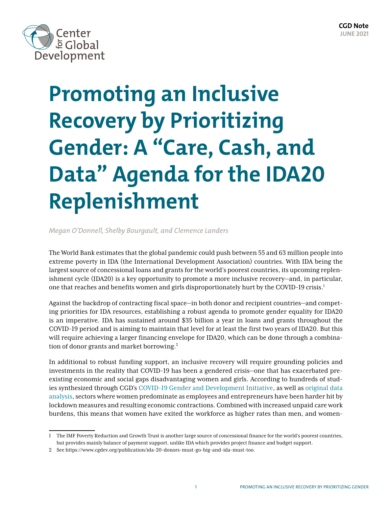

# **Promoting an Inclusive Recovery by Prioritizing Gender: A "Care, Cash, and Data" Agenda for the IDA20 Replenishment**

*Megan O'Donnell, Shelby Bourgault, and Clemence Landers*

The World Bank estimates that the global pandemic could push between 55 and 63 million people into extreme poverty in IDA (the International Development Association) countries. With IDA being the largest source of concessional loans and grants for the world's poorest countries, its upcoming replenishment cycle (IDA20) is a key opportunity to promote a more inclusive recovery—and, in particular, one that reaches and benefits women and girls disproportionately hurt by the COVID-19 crisis.<sup>1</sup>

Against the backdrop of contracting fiscal space—in both donor and recipient countries—and competing priorities for IDA resources, establishing a robust agenda to promote gender equality for IDA20 is an imperative. IDA has sustained around \$35 billion a year in loans and grants throughout the COVID-19 period and is aiming to maintain that level for at least the first two years of IDA20. But this will require achieving a larger financing envelope for IDA20, which can be done through a combination of donor grants and market borrowing.<sup>2</sup>

In additional to robust funding support, an inclusive recovery will require grounding policies and investments in the reality that COVID-19 has been a gendered crisis—one that has exacerbated preexisting economic and social gaps disadvantaging women and girls. According to hundreds of studies synthesized through CGD's [COVID-19 Gender and Development Initiative,](https://www.cgdev.org/project/covid-gender-initiative) as well as [original data](https://www.cgdev.org/publication/promoting-womens-economic-empowerment-covid-19-context)  [analysis,](https://www.cgdev.org/publication/promoting-womens-economic-empowerment-covid-19-context) sectors where women predominate as employees and entrepreneurs have been harder hit by lockdown measures and resulting economic contractions. Combined with increased unpaid care work burdens, this means that women have exited the workforce as higher rates than men, and women-

<sup>1</sup> The IMF Poverty Reduction and Growth Trust is another large source of concessional finance for the world's poorest countries, but provides mainly balance of payment support, unlike IDA which provides project finance and budget support.

<sup>2</sup> See<https://www.cgdev.org/publication/ida-20-donors-must-go-big-and-ida-must-too>.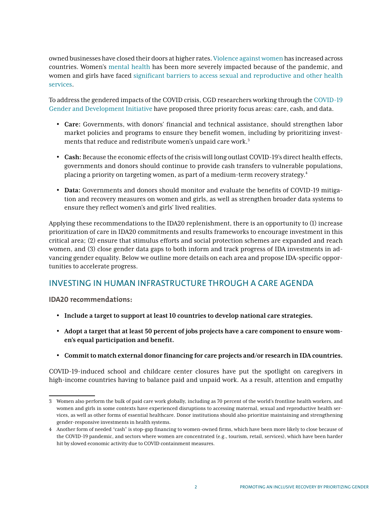owned businesses have closed their doors at higher rates. [Violence against women](https://www.cgdev.org/publication/violence-against-women-and-children-during-covid-19-one-year-and-100-papers-fourth) has increased across countries. Women's [mental health](https://emerge.ucsd.edu/wp-content/uploads/2021/02/covid-19-and-gender-quarterly-report-oct-dec-2020.pdf) has been more severely impacted because of the pandemic, and women and girls have faced [significant barriers to access sexual and reproductive and other health](https://www.cgdev.org/publication/addressing-covid-19-crisis-indirect-health-impacts-women-and-girls)  [services](https://www.cgdev.org/publication/addressing-covid-19-crisis-indirect-health-impacts-women-and-girls).

To address the gendered impacts of the COVID crisis, CGD researchers working through the [COVID-19](https://www.cgdev.org/project/covid-gender-initiative)  [Gender and Development Initiative](https://www.cgdev.org/project/covid-gender-initiative) have proposed three priority focus areas: care, cash, and data.

- **Care:** Governments, with donors' financial and technical assistance, should strengthen labor market policies and programs to ensure they benefit women, including by prioritizing investments that reduce and redistribute women's unpaid care work.3
- **Cash:** Because the economic effects of the crisis will long outlast COVID-19's direct health effects, governments and donors should continue to provide cash transfers to vulnerable populations, placing a priority on targeting women, as part of a medium-term recovery strategy.4
- **Data:** Governments and donors should monitor and evaluate the benefits of COVID-19 mitigation and recovery measures on women and girls, as well as strengthen broader data systems to ensure they reflect women's and girls' lived realities.

Applying these recommendations to the IDA20 replenishment, there is an opportunity to (1) increase prioritization of care in IDA20 commitments and results frameworks to encourage investment in this critical area; (2) ensure that stimulus efforts and social protection schemes are expanded and reach women, and (3) close gender data gaps to both inform and track progress of IDA investments in advancing gender equality. Below we outline more details on each area and propose IDA-specific opportunities to accelerate progress.

## INVESTING IN HUMAN INFRASTRUCTURE THROUGH A CARE AGENDA

**IDA20 recommendations:** 

- **Include a target to support at least 10 countries to develop national care strategies.**
- **Adopt a target that at least 50 percent of jobs projects have a care component to ensure women's equal participation and benefit.**
- **Commit to match external donor financing for care projects and/or research in IDA countries.**

COVID-19-induced school and childcare center closures have put the spotlight on caregivers in high-income countries having to balance paid and unpaid work. As a result, attention and empathy

<sup>3</sup> Women also perform the bulk of paid care work globally, including as 70 percent of the world's frontline health workers, and women and girls in some contexts have experienced disruptions to accessing maternal, sexual and reproductive health services, as well as other forms of essential healthcare. Donor institutions should also prioritize maintaining and strengthening gender-responsive investments in health systems.

<sup>4</sup> Another form of needed "cash" is stop-gap financing to women-owned firms, which have been more likely to close because of the COVID-19 pandemic, and sectors where women are concentrated (e.g., tourism, retail, services), which have been harder hit by slowed economic activity due to COVID containment measures.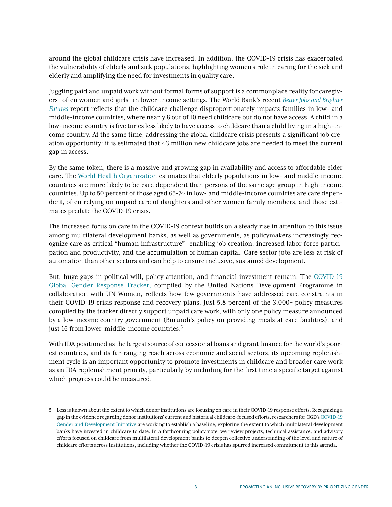around the global childcare crisis have increased. In addition, the COVID-19 crisis has exacerbated the vulnerability of elderly and sick populations, highlighting women's role in caring for the sick and elderly and amplifying the need for investments in quality care.

Juggling paid and unpaid work without formal forms of support is a commonplace reality for caregivers—often women and girls—in lower-income settings. The World Bank's recent *[Better Jobs and Brighter](https://openknowledge.worldbank.org/handle/10986/35062)  [Futures](https://openknowledge.worldbank.org/handle/10986/35062)* report reflects that the childcare challenge disproportionately impacts families in low- and middle-income countries, where nearly 8 out of 10 need childcare but do not have access. A child in a low-income country is five times less likely to have access to childcare than a child living in a high-income country. At the same time, addressing the global childcare crisis presents a significant job creation opportunity: it is estimated that 43 million new childcare jobs are needed to meet the current gap in access.

By the same token, there is a massive and growing gap in availability and access to affordable elder care. The [World Health Organization](http://apps.who.int/iris/bitstream/handle/10665/186463/9789240694811_eng.pdf;jsessionid=BF6D7779762888B9019C7518299DADDC?sequence=1) estimates that elderly populations in low- and middle-income countries are more likely to be care dependent than persons of the same age group in high-income countries. Up to 50 percent of those aged 65-74 in low- and middle-income countries are care dependent, often relying on unpaid care of daughters and other women family members, and those estimates predate the COVID-19 crisis.

The increased focus on care in the COVID-19 context builds on a steady rise in attention to this issue among multilateral development banks, as well as governments, as policymakers increasingly recognize care as critical "human infrastructure"—enabling job creation, increased labor force participation and productivity, and the accumulation of human capital. Care sector jobs are less at risk of automation than other sectors and can help to ensure inclusive, sustained development.

But, huge gaps in political will, policy attention, and financial investment remain. The [COVID-19](https://data.undp.org/gendertracker/)  [Global Gender Response Tracker](https://data.undp.org/gendertracker/), compiled by the United Nations Development Programme in collaboration with UN Women, reflects how few governments have addressed care constraints in their COVID-19 crisis response and recovery plans. Just 5.8 percent of the 3,000+ policy measures compiled by the tracker directly support unpaid care work, with only one policy measure announced by a low-income country government (Burundi's policy on providing meals at care facilities), and just 16 from lower-middle-income countries.<sup>5</sup>

With IDA positioned as the largest source of concessional loans and grant finance for the world's poorest countries, and its far-ranging reach across economic and social sectors, its upcoming replenishment cycle is an important opportunity to promote investments in childcare and broader care work as an IDA replenishment priority, particularly by including for the first time a specific target against which progress could be measured.

<sup>5</sup> Less is known about the extent to which donor institutions are focusing on care in their COVID-19 response efforts. Recognizing a gap in the evidence regarding donor institutions' current and historical childcare-focused efforts, researchers for CGD's [COVID-19](https://www.cgdev.org/project/covid-gender-initiative)  [Gender and Development Initiative](https://www.cgdev.org/project/covid-gender-initiative) are working to establish a baseline, exploring the extent to which multilateral development banks have invested in childcare to date. In a forthcoming policy note, we review projects, technical assistance, and advisory efforts focused on childcare from multilateral development banks to deepen collective understanding of the level and nature of childcare efforts across institutions, including whether the COVID-19 crisis has spurred increased commitment to this agenda.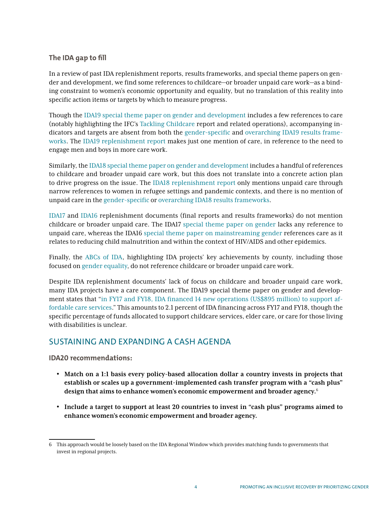## **The IDA gap to fill**

In a review of past IDA replenishment reports, results frameworks, and special theme papers on gender and development, we find some references to childcare—or broader unpaid care work—as a binding constraint to women's economic opportunity and equality, but no translation of this reality into specific action items or targets by which to measure progress.

Though the [IDA19 special theme paper on gender and development](https://documents.worldbank.org/en/publication/documents-reports/documentdetail/620151563778375509/ida19-second-replenishment-meeting-special-theme-gender-and-development) includes a few references to care (notably highlighting the IFC's [Tackling Childcare](https://www.ifc.org/wps/wcm/connect/topics_ext_content/ifc_external_corporate_site/gender+at+ifc/priorities/employment/tackling_childcare_the_business_case_for_employer_supported_childcare) report and related operations), accompanying indicators and targets are absent from both the [gender-specific](http://documents1.worldbank.org/curated/en/620151563778375509/pdf/IDA19-Second-Replenishment-Meeting-Special-Theme-Gender-and-Development.pdf) and [overarching IDA19 results frame](http://documents1.worldbank.org/curated/en/719071563779842522/pdf/IDA19-Second-Replenishment-Meeting-The-IDA19-Results-Measurement-System.pdf)[works.](http://documents1.worldbank.org/curated/en/719071563779842522/pdf/IDA19-Second-Replenishment-Meeting-The-IDA19-Results-Measurement-System.pdf) The [IDA19 replenishment report](http://documents1.worldbank.org/curated/en/459531582153485508/pdf/Additions-to-IDA-Resources-Nineteenth-Replenishment-Ten-Years-to-2030-Growth-People-Resilience.pdf) makes just one mention of care, in reference to the need to engage men and boys in more care work.

Similarly, the [IDA18 special theme paper on gender and development](https://documents.worldbank.org/en/publication/documents-reports/documentdetail/846661468196734005/international-development-association-ida-18-special-theme-gender-and-development) includes a handful of references to childcare and broader unpaid care work, but this does not translate into a concrete action plan to drive progress on the issue. The [IDA18 replenishment report](https://documents.worldbank.org/en/publication/documents-reports/documentdetail/348661486654455091/ida18-deputies-report-additions-to-ida-resources-towards-2030-investing-in-growth-resilience-and-opportunity) only mentions unpaid care through narrow references to women in refugee settings and pandemic contexts, and there is no mention of unpaid care in the [gender-specific](http://documents1.worldbank.org/curated/en/846661468196734005/pdf/106181-BR-IDA-18-Gender-Development-PUBLIC-disclosed-6-2-2016-11-31PM-IDA-SecM2016-0114-Box360260B.pdf) or [overarching IDA18 results frameworks.](https://ida.worldbank.org/sites/default/files/pdfs/ida18_rms_2019.pdf)

[IDA17](https://ida.worldbank.org/replenishments/ida17-replenishment) and [IDA16](https://ida.worldbank.org/replenishments/ida16-replenishment) replenishment documents (final reports and results frameworks) do not mention childcare or broader unpaid care. The IDA17 [special theme paper on gender](http://documents1.worldbank.org/curated/en/514971468147870158/pdf/785550BR0IDA0S00Box0377330B00OUO090.pdf) lacks any reference to unpaid care, whereas the IDA16 [special theme paper on mainstreaming gender](http://documents1.worldbank.org/curated/en/407511468147850201/pdf/549540BR0IDA1S101Official0Use0Only1.pdf) references care as it relates to reducing child malnutrition and within the context of HIV/AIDS and other epidemics.

Finally, the [ABCs of IDA](https://ida.worldbank.org/results/abcs/abcs-ida-key-achievements-country), highlighting IDA projects' key achievements by county, including those focused on [gender equality,](https://ida.worldbank.org/results/abcs/abcs-ida-gender) do not reference childcare or broader unpaid care work.

Despite IDA replenishment documents' lack of focus on childcare and broader unpaid care work, many IDA projects have a care component. The IDA19 special theme paper on gender and development states that ["in FY17 and FY18, IDA financed 14 new operations \(US\\$895 million\) to support af](http://documents1.worldbank.org/curated/en/620151563778375509/pdf/IDA19-Second-Replenishment-Meeting-Special-Theme-Gender-and-Development.pdf)[fordable care services.](http://documents1.worldbank.org/curated/en/620151563778375509/pdf/IDA19-Second-Replenishment-Meeting-Special-Theme-Gender-and-Development.pdf)" This amounts to 2.1 percent of IDA financing across FY17 and FY18, though the specific percentage of funds allocated to support childcare services, elder care, or care for those living with disabilities is unclear.

## SUSTAINING AND EXPANDING A CASH AGENDA

**IDA20 recommendations:** 

- **Match on a 1:1 basis every policy-based allocation dollar a country invests in projects that establish or scales up a government-implemented cash transfer program with a "cash plus" design that aims to enhance women's economic empowerment and broader agency.**<sup>6</sup>
- **Include a target to support at least 20 countries to invest in "cash plus" programs aimed to enhance women's economic empowerment and broader agency.**

<sup>6</sup> This approach would be loosely based on the IDA Regional Window which provides matching funds to governments that invest in regional projects.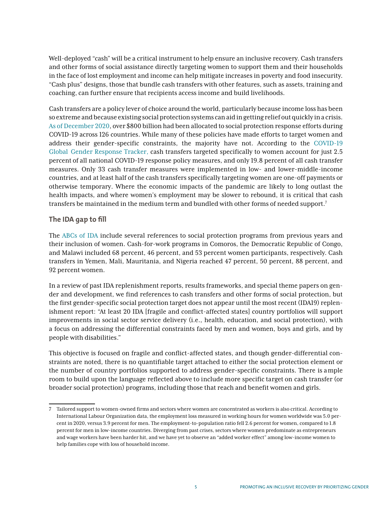Well-deployed "cash" will be a critical instrument to help ensure an inclusive recovery. Cash transfers and other forms of social assistance directly targeting women to support them and their households in the face of lost employment and income can help mitigate increases in poverty and food insecurity. "Cash plus" designs, those that bundle cash transfers with other features, such as assets, training and coaching, can further ensure that recipients access income and build livelihoods.

Cash transfers are a policy lever of choice around the world, particularly because income loss has been so extreme and because existing social protection systems can aid in getting relief out quickly in a crisis. [As of December 2020](https://www.ugogentilini.net/?p=1070), over \$800 billion had been allocated to social protection response efforts during COVID-19 across 126 countries. While many of these policies have made efforts to target women and address their gender-specific constraints, the majority have not. According to the COVID-19 [Global Gender Response Tracker, cash transfers targeted specifically to women account for just 2.5](https://data.undp.org/gendertracker/)  percent of all national COVID-19 response policy measures, and only 19.8 percent of all cash transfer measures. Only 33 cash transfer measures were implemented in low- and lower-middle-income countries, and at least half of the cash transfers specifically targeting women are one-off payments or otherwise temporary. Where the economic impacts of the pandemic are likely to long outlast the health impacts, and where women's employment may be slower to rebound, it is critical that cash transfers be maintained in the medium term and bundled with other forms of needed support.<sup>7</sup>

## **The IDA gap to fill**

The [ABCs of IDA](https://ida.worldbank.org/results/abcs/abcs-ida-key-achievements-country) include several references to social protection programs from previous years and their inclusion of women. Cash-for-work programs in Comoros, the Democratic Republic of Congo, and Malawi included 68 percent, 46 percent, and 53 percent women participants, respectively. Cash transfers in Yemen, Mali, Mauritania, and Nigeria reached 47 percent, 50 percent, 88 percent, and 92 percent women.

In a review of past IDA replenishment reports, results frameworks, and special theme papers on gender and development, we find references to cash transfers and other forms of social protection, but the first gender-specific social protection target does not appear until the most recent (IDA19) replenishment report: "At least 20 IDA [fragile and conflict-affected states] country portfolios will support improvements in social sector service delivery (i.e., health, education, and social protection), with a focus on addressing the differential constraints faced by men and women, boys and girls, and by people with disabilities."

This objective is focused on fragile and conflict-affected states, and though gender-differential constraints are noted, there is no quantifiable target attached to either the social protection element or the number of country portfolios supported to address gender-specific constraints. There is ample room to build upon the language reflected above to include more specific target on cash transfer (or broader social protection) programs, including those that reach and benefit women and girls.

<sup>7</sup> Tailored support to women-owned firms and sectors where women are concentrated as workers is also critical. According to International Labour Organization data, the employment loss measured in working hours for women worldwide was 5.0 percent in 2020, versus 3.9 percent for men. The employment-to-population ratio fell 2.6 percent for women, compared to 1.8 percent for men in low-income countries. Diverging from past crises, sectors where women predominate as entrepreneurs and wage workers have been harder hit, and we have yet to observe an "added worker effect" among low-income women to help families cope with loss of household income.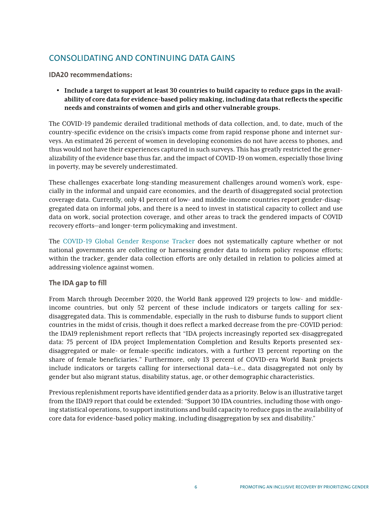# CONSOLIDATING AND CONTINUING DATA GAINS

## **IDA20 recommendations:**

• **Include a target to support at least 30 countries to build capacity to reduce gaps in the availability of core data for evidence-based policy making, including data that reflects the specific needs and constraints of women and girls and other vulnerable groups.**

The COVID-19 pandemic derailed traditional methods of data collection, and, to date, much of the country-specific evidence on the crisis's impacts come from rapid response phone and internet surveys. An estimated 26 percent of women in developing economies do not have access to phones, and thus would not have their experiences captured in such surveys. This has greatly restricted the generalizability of the evidence base thus far, and the impact of COVID-19 on women, especially those living in poverty, may be severely underestimated.

These challenges exacerbate long-standing measurement challenges around women's work, especially in the informal and unpaid care economies, and the dearth of disaggregated social protection coverage data. Currently, only 41 percent of low- and middle-income countries report gender-disaggregated data on informal jobs, and there is a need to invest in statistical capacity to collect and use data on work, social protection coverage, and other areas to track the gendered impacts of COVID recovery efforts—and longer-term policymaking and investment.

The [COVID-19 Global Gender Response Tracker](https://data.undp.org/gendertracker/) does not systematically capture whether or not national governments are collecting or harnessing gender data to inform policy response efforts; within the tracker, gender data collection efforts are only detailed in relation to policies aimed at addressing violence against women.

## **The IDA gap to fill**

From March through December 2020, the World Bank approved 129 projects to low- and middleincome countries, but only 52 percent of these include indicators or targets calling for sexdisaggregated data. This is commendable, especially in the rush to disburse funds to support client countries in the midst of crisis, though it does reflect a marked decrease from the pre-COVID period: the IDA19 replenishment report reflects that "IDA projects increasingly reported sex-disaggregated data: 75 percent of IDA project Implementation Completion and Results Reports presented sexdisaggregated or male- or female-specific indicators, with a further 13 percent reporting on the share of female beneficiaries." Furthermore, only 13 percent of COVID-era World Bank projects include indicators or targets calling for intersectional data—i.e., data disaggregated not only by gender but also migrant status, disability status, age, or other demographic characteristics.

Previous replenishment reports have identified gender data as a priority. Below is an illustrative target from the IDA19 report that could be extended: "Support 30 IDA countries, including those with ongoing statistical operations, to support institutions and build capacity to reduce gaps in the availability of core data for evidence-based policy making, including disaggregation by sex and disability."